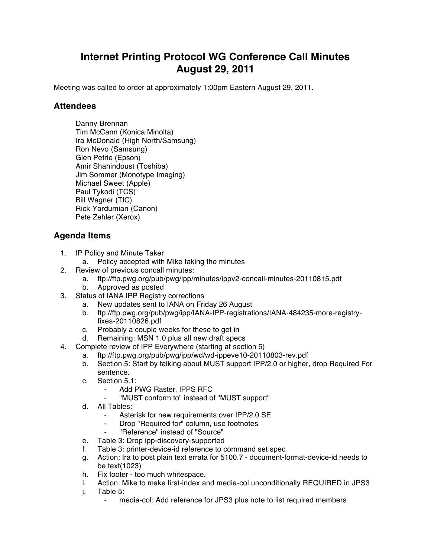## **Internet Printing Protocol WG Conference Call Minutes August 29, 2011**

Meeting was called to order at approximately 1:00pm Eastern August 29, 2011.

## **Attendees**

Danny Brennan Tim McCann (Konica Minolta) Ira McDonald (High North/Samsung) Ron Nevo (Samsung) Glen Petrie (Epson) Amir Shahindoust (Toshiba) Jim Sommer (Monotype Imaging) Michael Sweet (Apple) Paul Tykodi (TCS) Bill Wagner (TIC) Rick Yardumian (Canon) Pete Zehler (Xerox)

## **Agenda Items**

- 1. IP Policy and Minute Taker
	- a. Policy accepted with Mike taking the minutes
- 2. Review of previous concall minutes:
	- a. ftp://ftp.pwg.org/pub/pwg/ipp/minutes/ippv2-concall-minutes-20110815.pdf
	- b. Approved as posted
- 3. Status of IANA IPP Registry corrections
	- a. New updates sent to IANA on Friday 26 August
	- b. ftp://ftp.pwg.org/pub/pwg/ipp/IANA-IPP-registrations/IANA-484235-more-registryfixes-20110826.pdf
	- c. Probably a couple weeks for these to get in
	- d. Remaining: MSN 1.0 plus all new draft specs
- 4. Complete review of IPP Everywhere (starting at section 5)
	- a. ftp://ftp.pwg.org/pub/pwg/ipp/wd/wd-ippeve10-20110803-rev.pdf
	- b. Section 5: Start by talking about MUST support IPP/2.0 or higher, drop Required For sentence.
	- c. Section 5.1:
		- Add PWG Raster, IPPS RFC
		- ⁃ "MUST conform to" instead of "MUST support"
	- d. All Tables:
		- Asterisk for new requirements over IPP/2.0 SE
		- Drop "Required for" column, use footnotes
		- ⁃ "Reference" instead of "Source"
	- e. Table 3: Drop ipp-discovery-supported
	- f. Table 3: printer-device-id reference to command set spec
	- g. Action: Ira to post plain text errata for 5100.7 document-format-device-id needs to be text(1023)
	- h. Fix footer too much whitespace.
	- i. Action: Mike to make first-index and media-col unconditionally REQUIRED in JPS3
	- j. Table 5:
		- media-col: Add reference for JPS3 plus note to list required members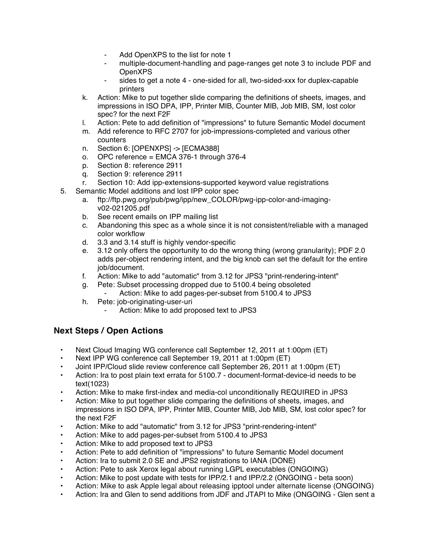- Add OpenXPS to the list for note 1
- multiple-document-handling and page-ranges get note 3 to include PDF and OpenXPS
- sides to get a note 4 one-sided for all, two-sided-xxx for duplex-capable printers
- k. Action: Mike to put together slide comparing the definitions of sheets, images, and impressions in ISO DPA, IPP, Printer MIB, Counter MIB, Job MIB, SM, lost color spec? for the next F2F
- l. Action: Pete to add definition of "impressions" to future Semantic Model document
- m. Add reference to RFC 2707 for job-impressions-completed and various other counters
- n. Section 6: [OPENXPS] -> [ECMA388]
- o. OPC reference = EMCA 376-1 through 376-4
- p. Section 8: reference 2911
- q. Section 9: reference 2911
- r. Section 10: Add ipp-extensions-supported keyword value registrations
- 5. Semantic Model additions and lost IPP color spec
	- a. ftp://ftp.pwg.org/pub/pwg/ipp/new\_COLOR/pwg-ipp-color-and-imagingv02-021205.pdf
	- b. See recent emails on IPP mailing list
	- c. Abandoning this spec as a whole since it is not consistent/reliable with a managed color workflow
	- d. 3.3 and 3.14 stuff is highly vendor-specific
	- e. 3.12 only offers the opportunity to do the wrong thing (wrong granularity); PDF 2.0 adds per-object rendering intent, and the big knob can set the default for the entire job/document.
	- f. Action: Mike to add "automatic" from 3.12 for JPS3 "print-rendering-intent"
	- g. Pete: Subset processing dropped due to 5100.4 being obsoleted
		- Action: Mike to add pages-per-subset from 5100.4 to JPS3
	- h. Pete: job-originating-user-uri
		- Action: Mike to add proposed text to JPS3

## **Next Steps / Open Actions**

- Next Cloud Imaging WG conference call September 12, 2011 at 1:00pm (ET)
- Next IPP WG conference call September 19, 2011 at 1:00pm (ET)
- Joint IPP/Cloud slide review conference call September 26, 2011 at 1:00pm (ET)
- Action: Ira to post plain text errata for 5100.7 document-format-device-id needs to be text(1023)
- Action: Mike to make first-index and media-col unconditionally REQUIRED in JPS3
- Action: Mike to put together slide comparing the definitions of sheets, images, and impressions in ISO DPA, IPP, Printer MIB, Counter MIB, Job MIB, SM, lost color spec? for the next F2F
- Action: Mike to add "automatic" from 3.12 for JPS3 "print-rendering-intent"
- Action: Mike to add pages-per-subset from 5100.4 to JPS3
- Action: Mike to add proposed text to JPS3
- Action: Pete to add definition of "impressions" to future Semantic Model document
- Action: Ira to submit 2.0 SE and JPS2 registrations to IANA (DONE)
- Action: Pete to ask Xerox legal about running LGPL executables (ONGOING)
- Action: Mike to post update with tests for IPP/2.1 and IPP/2.2 (ONGOING beta soon)
- Action: Mike to ask Apple legal about releasing ipptool under alternate license (ONGOING)
- Action: Ira and Glen to send additions from JDF and JTAPI to Mike (ONGOING Glen sent a